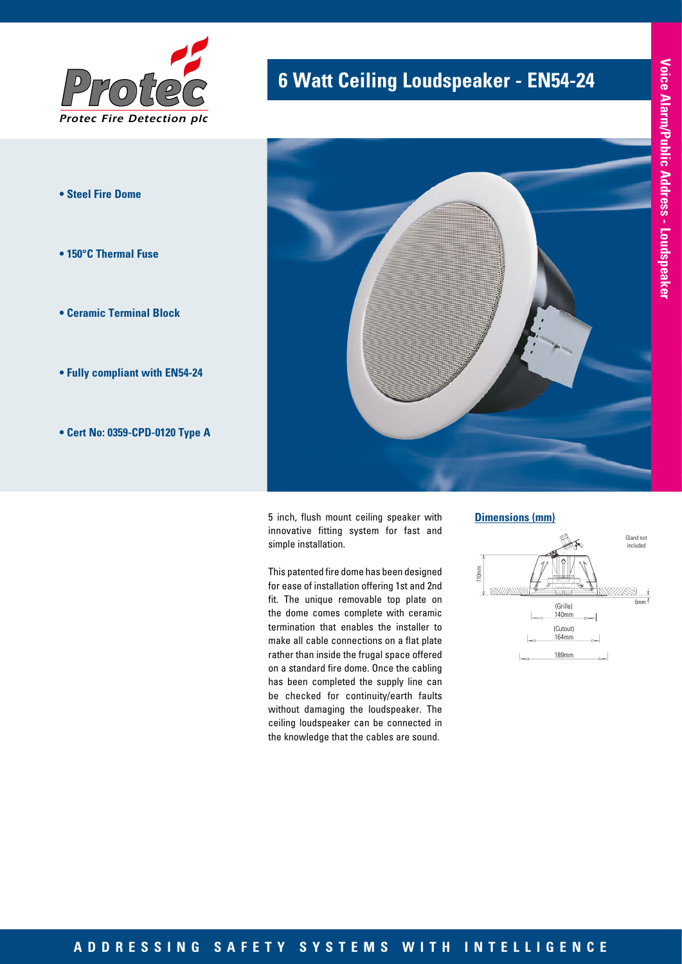

- **Steel Fire Dome**
- **150°C Thermal Fuse**
- **Ceramic Terminal Block**
- **Fully compliant with EN54-24**
- **Cert No: 0359-CPD-0120 Type A**

# **6 Watt Ceiling Loudspeaker - EN54-24**



5 inch, flush mount ceiling speaker with innovative fitting system for fast and simple installation.

This patented fire dome has been designed for ease of installation offering 1st and 2nd fit. The unique removable top plate on the dome comes complete with ceramic termination that enables the installer to make all cable connections on a flat plate rather than inside the frugal space offered on a standard fire dome. Once the cabling has been completed the supply line can be checked for continuity/earth faults without damaging the loudspeaker. The ceiling loudspeaker can be connected in the knowledge that the cables are sound.

**Dimensions (mm)**